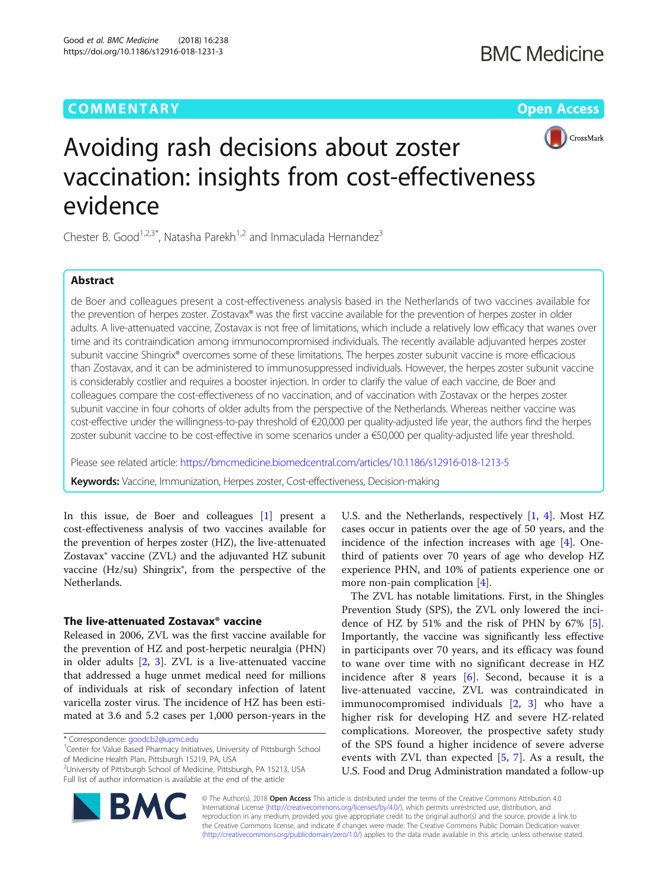# **COMMENTARY COMMENTARY COMMENTARY**



# Avoiding rash decisions about zoster vaccination: insights from cost-effectiveness evidence

Chester B. Good<sup>1,2,3\*</sup>, Natasha Parekh<sup>1,2</sup> and Inmaculada Hernandez<sup>3</sup>

# Abstract

de Boer and colleagues present a cost-effectiveness analysis based in the Netherlands of two vaccines available for the prevention of herpes zoster. Zostavax® was the first vaccine available for the prevention of herpes zoster in older adults. A live-attenuated vaccine, Zostavax is not free of limitations, which include a relatively low efficacy that wanes over time and its contraindication among immunocompromised individuals. The recently available adjuvanted herpes zoster subunit vaccine Shingrix® overcomes some of these limitations. The herpes zoster subunit vaccine is more efficacious than Zostavax, and it can be administered to immunosuppressed individuals. However, the herpes zoster subunit vaccine is considerably costlier and requires a booster injection. In order to clarify the value of each vaccine, de Boer and colleagues compare the cost-effectiveness of no vaccination, and of vaccination with Zostavax or the herpes zoster subunit vaccine in four cohorts of older adults from the perspective of the Netherlands. Whereas neither vaccine was cost-effective under the willingness-to-pay threshold of €20,000 per quality-adjusted life year, the authors find the herpes zoster subunit vaccine to be cost-effective in some scenarios under a €50,000 per quality-adjusted life year threshold.

Please see related article: <https://bmcmedicine.biomedcentral.com/articles/10.1186/s12916-018-1213-5>

Keywords: Vaccine, Immunization, Herpes zoster, Cost-effectiveness, Decision-making

In this issue, de Boer and colleagues [\[1](#page-2-0)] present a cost-effectiveness analysis of two vaccines available for the prevention of herpes zoster (HZ), the live-attenuated Zostavax® vaccine (ZVL) and the adjuvanted HZ subunit vaccine (Hz/su) Shingrix®, from the perspective of the Netherlands.

# The live-attenuated Zostavax® vaccine

Released in 2006, ZVL was the first vaccine available for the prevention of HZ and post-herpetic neuralgia (PHN) in older adults [[2,](#page-2-0) [3](#page-2-0)]. ZVL is a live-attenuated vaccine that addressed a huge unmet medical need for millions of individuals at risk of secondary infection of latent varicella zoster virus. The incidence of HZ has been estimated at 3.6 and 5.2 cases per 1,000 person-years in the



The ZVL has notable limitations. First, in the Shingles Prevention Study (SPS), the ZVL only lowered the incidence of HZ by 51% and the risk of PHN by 67% [\[5](#page-2-0)]. Importantly, the vaccine was significantly less effective in participants over 70 years, and its efficacy was found to wane over time with no significant decrease in HZ incidence after 8 years  $[6]$  $[6]$ . Second, because it is a live-attenuated vaccine, ZVL was contraindicated in immunocompromised individuals [[2,](#page-2-0) [3\]](#page-2-0) who have a higher risk for developing HZ and severe HZ-related complications. Moreover, the prospective safety study of the SPS found a higher incidence of severe adverse events with ZVL than expected  $[5, 7]$  $[5, 7]$  $[5, 7]$  $[5, 7]$ . As a result, the U.S. Food and Drug Administration mandated a follow-up



© The Author(s). 2018 Open Access This article is distributed under the terms of the Creative Commons Attribution 4.0 International License [\(http://creativecommons.org/licenses/by/4.0/](http://creativecommons.org/licenses/by/4.0/)), which permits unrestricted use, distribution, and reproduction in any medium, provided you give appropriate credit to the original author(s) and the source, provide a link to the Creative Commons license, and indicate if changes were made. The Creative Commons Public Domain Dedication waiver [\(http://creativecommons.org/publicdomain/zero/1.0/](http://creativecommons.org/publicdomain/zero/1.0/)) applies to the data made available in this article, unless otherwise stated.

<sup>\*</sup> Correspondence: [goodcb2@upmc.edu](mailto:goodcb2@upmc.edu) <sup>1</sup>

<sup>&</sup>lt;sup>1</sup> Center for Value Based Pharmacy Initiatives, University of Pittsburgh School of Medicine Health Plan, Pittsburgh 15219, PA, USA

<sup>2</sup> University of Pittsburgh School of Medicine, Pittsburgh, PA 15213, USA Full list of author information is available at the end of the article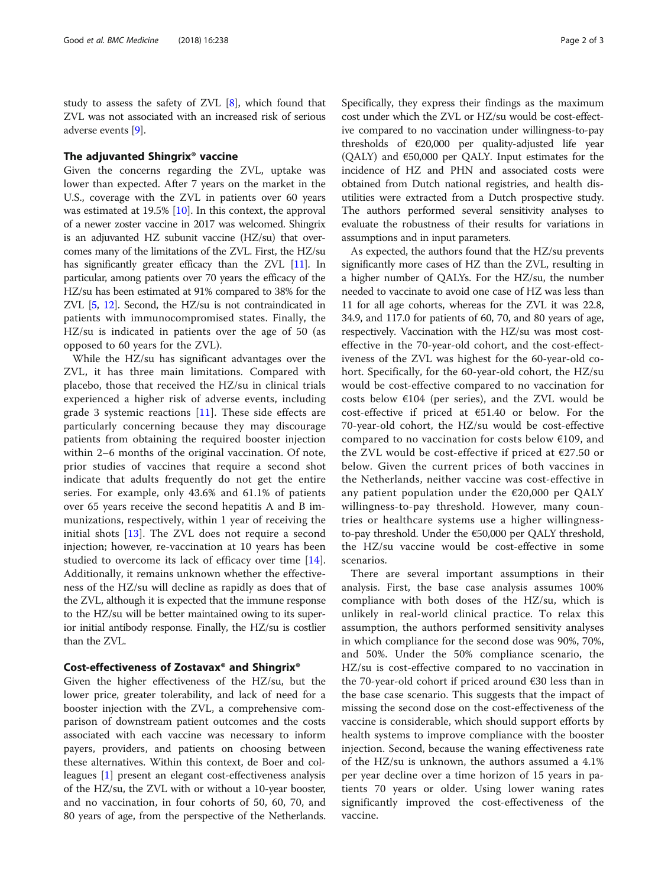study to assess the safety of ZVL [\[8](#page-2-0)], which found that ZVL was not associated with an increased risk of serious adverse events [\[9\]](#page-2-0).

# The adjuvanted Shingrix® vaccine

Given the concerns regarding the ZVL, uptake was lower than expected. After 7 years on the market in the U.S., coverage with the ZVL in patients over 60 years was estimated at 19.5% [[10\]](#page-2-0). In this context, the approval of a newer zoster vaccine in 2017 was welcomed. Shingrix is an adjuvanted HZ subunit vaccine (HZ/su) that overcomes many of the limitations of the ZVL. First, the HZ/su has significantly greater efficacy than the ZVL [\[11\]](#page-2-0). In particular, among patients over 70 years the efficacy of the HZ/su has been estimated at 91% compared to 38% for the ZVL [[5](#page-2-0), [12\]](#page-2-0). Second, the HZ/su is not contraindicated in patients with immunocompromised states. Finally, the HZ/su is indicated in patients over the age of 50 (as opposed to 60 years for the ZVL).

While the HZ/su has significant advantages over the ZVL, it has three main limitations. Compared with placebo, those that received the HZ/su in clinical trials experienced a higher risk of adverse events, including grade 3 systemic reactions [[11\]](#page-2-0). These side effects are particularly concerning because they may discourage patients from obtaining the required booster injection within 2–6 months of the original vaccination. Of note, prior studies of vaccines that require a second shot indicate that adults frequently do not get the entire series. For example, only 43.6% and 61.1% of patients over 65 years receive the second hepatitis A and B immunizations, respectively, within 1 year of receiving the initial shots [[13\]](#page-2-0). The ZVL does not require a second injection; however, re-vaccination at 10 years has been studied to overcome its lack of efficacy over time [[14](#page-2-0)]. Additionally, it remains unknown whether the effectiveness of the HZ/su will decline as rapidly as does that of the ZVL, although it is expected that the immune response to the HZ/su will be better maintained owing to its superior initial antibody response. Finally, the HZ/su is costlier than the ZVL.

# Cost-effectiveness of Zostavax® and Shingrix®

Given the higher effectiveness of the HZ/su, but the lower price, greater tolerability, and lack of need for a booster injection with the ZVL, a comprehensive comparison of downstream patient outcomes and the costs associated with each vaccine was necessary to inform payers, providers, and patients on choosing between these alternatives. Within this context, de Boer and colleagues [\[1\]](#page-2-0) present an elegant cost-effectiveness analysis of the HZ/su, the ZVL with or without a 10-year booster, and no vaccination, in four cohorts of 50, 60, 70, and 80 years of age, from the perspective of the Netherlands. Specifically, they express their findings as the maximum cost under which the ZVL or HZ/su would be cost-effective compared to no vaccination under willingness-to-pay thresholds of €20,000 per quality-adjusted life year (QALY) and  $\epsilon$ 50,000 per QALY. Input estimates for the incidence of HZ and PHN and associated costs were obtained from Dutch national registries, and health disutilities were extracted from a Dutch prospective study. The authors performed several sensitivity analyses to evaluate the robustness of their results for variations in assumptions and in input parameters.

As expected, the authors found that the HZ/su prevents significantly more cases of HZ than the ZVL, resulting in a higher number of QALYs. For the HZ/su, the number needed to vaccinate to avoid one case of HZ was less than 11 for all age cohorts, whereas for the ZVL it was 22.8, 34.9, and 117.0 for patients of 60, 70, and 80 years of age, respectively. Vaccination with the HZ/su was most costeffective in the 70-year-old cohort, and the cost-effectiveness of the ZVL was highest for the 60-year-old cohort. Specifically, for the 60-year-old cohort, the HZ/su would be cost-effective compared to no vaccination for costs below  $€104$  (per series), and the ZVL would be cost-effective if priced at  $€51.40$  or below. For the 70-year-old cohort, the HZ/su would be cost-effective compared to no vaccination for costs below €109, and the ZVL would be cost-effective if priced at €27.50 or below. Given the current prices of both vaccines in the Netherlands, neither vaccine was cost-effective in any patient population under the  $€20,000$  per QALY willingness-to-pay threshold. However, many countries or healthcare systems use a higher willingnessto-pay threshold. Under the €50,000 per QALY threshold, the HZ/su vaccine would be cost-effective in some scenarios.

There are several important assumptions in their analysis. First, the base case analysis assumes 100% compliance with both doses of the HZ/su, which is unlikely in real-world clinical practice. To relax this assumption, the authors performed sensitivity analyses in which compliance for the second dose was 90%, 70%, and 50%. Under the 50% compliance scenario, the HZ/su is cost-effective compared to no vaccination in the 70-year-old cohort if priced around  $\epsilon$ 30 less than in the base case scenario. This suggests that the impact of missing the second dose on the cost-effectiveness of the vaccine is considerable, which should support efforts by health systems to improve compliance with the booster injection. Second, because the waning effectiveness rate of the HZ/su is unknown, the authors assumed a 4.1% per year decline over a time horizon of 15 years in patients 70 years or older. Using lower waning rates significantly improved the cost-effectiveness of the vaccine.